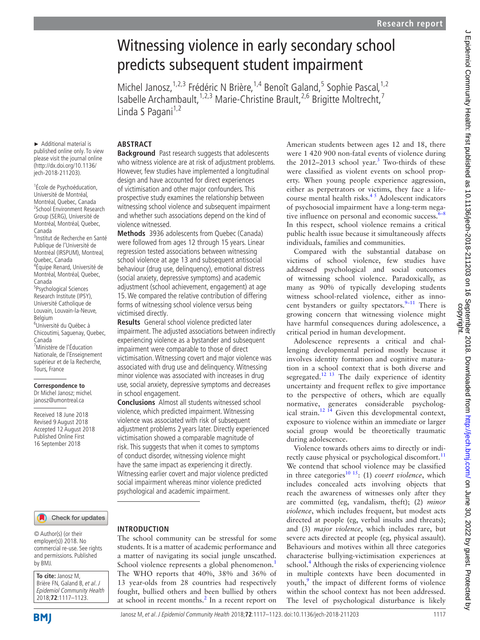# Witnessing violence in early secondary school predicts subsequent student impairment

Michel Janosz,<sup>1,2,3</sup> Frédéric N Brière,<sup>1,4</sup> Benoît Galand,<sup>5</sup> Sophie Pascal,<sup>1,2</sup> Isabelle Archambault,<sup>1,2,3</sup> Marie-Christine Brault,<sup>2,6</sup> Brigitte Moltrecht,<sup>7</sup> Linda S Pagani $1,2$ 

► Additional material is published online only. To view please visit the journal online (http://dx.doi.org/10.1136/ jech-2018-211203).

1 École de Psychoéducation, Université de Montréal, Montréal, Quebec, Canada 2 School Environment Research Group (SERG), Université de Montréal, Montréal, Quebec, Canada 3 Institut de Recherche en Santé Publique de l'Université de Montréal (IRSPUM), Montreal, Quebec, Canada 4 Équipe Renard, Université de Montréal, Montréal, Quebec, Canada 5 Psychological Sciences Research Institute (IPSY), Université Catholique de Louvain, Louvain-la-Neuve, Belgium 6 Université du Québec à Chicoutimi, Saguenay, Quebec, Canada 7 Ministère de l'Éducation Nationale, de l'Enseignement supérieur et de la Recherche, Tours, France

#### **Correspondence to** Dr Michel Janosz; michel.

janosz@umontreal.ca

Received 18 June 2018 Revised 9 August 2018 Accepted 12 August 2018 Published Online First 16 September 2018

#### Check for updates

© Author(s) (or their employer(s)) 2018. No commercial re-use. See rights and permissions. Published by BMJ.

**To cite:** Janosz M, Brière FN, Galand B, et al. J Epidemiol Community Health 2018;**72**:1117–1123.

## **Abstract**

**Background** Past research suggests that adolescents who witness violence are at risk of adjustment problems. However, few studies have implemented a longitudinal design and have accounted for direct experiences of victimisation and other major confounders. This prospective study examines the relationship between witnessing school violence and subsequent impairment and whether such associations depend on the kind of violence witnessed.

**Methods** 3936 adolescents from Quebec (Canada) were followed from ages 12 through 15 years. Linear regression tested associations between witnessing school violence at age 13 and subsequent antisocial behaviour (drug use, delinquency), emotional distress (social anxiety, depressive symptoms) and academic adjustment (school achievement, engagement) at age 15. We compared the relative contribution of differing forms of witnessing school violence versus being victimised directly.

**Results** General school violence predicted later impairment. The adjusted associations between indirectly experiencing violence as a bystander and subsequent impairment were comparable to those of direct victimisation. Witnessing covert and major violence was associated with drug use and delinquency. Witnessing minor violence was associated with increases in drug use, social anxiety, depressive symptoms and decreases in school engagement.

**Conclusions** Almost all students witnessed school violence, which predicted impairment. Witnessing violence was associated with risk of subsequent adjustment problems 2 years later. Directly experienced victimisation showed a comparable magnitude of risk. This suggests that when it comes to symptoms of conduct disorder, witnessing violence might have the same impact as experiencing it directly. Witnessing earlier covert and major violence predicted social impairment whereas minor violence predicted psychological and academic impairment.

## **Introduction**

The school community can be stressful for some students. It is a matter of academic performance and a matter of navigating its social jungle unscathed. School violence represents a global phenomenon.<sup>[1](#page-5-0)</sup> The WHO reports that 40%, 38% and 36% of 13 year-olds from 28 countries had respectively fought, bullied others and been bullied by others at school in recent months.<sup>[2](#page-5-1)</sup> In a recent report on American students between ages 12 and 18, there were 1 420 900 non-fatal events of violence during the  $2012-2013$  $2012-2013$  school year.<sup>3</sup> Two-thirds of these were classified as violent events on school property. When young people experience aggression, either as perpetrators or victims, they face a lifecourse mental health risks. $4<sup>5</sup>$  Adolescent indicators of psychosocial impairment have a long-term negative influence on personal and economic success. $6-8$ In this respect, school violence remains a critical public health issue because it simultaneously affects individuals, families and communities.

Compared with the substantial database on victims of school violence, few studies have addressed psychological and social outcomes of witnessing school violence. Paradoxically, as many as 90% of typically developing students witness school-related violence, either as innocent bystanders or guilty spectators. $9-11$  There is growing concern that witnessing violence might have harmful consequences during adolescence, a critical period in human development.

Adolescence represents a critical and challenging developmental period mostly because it involves identity formation and cognitive maturation in a school context that is both diverse and segregated.<sup>[12 13](#page-6-3)</sup> The daily experience of identity uncertainty and frequent reflex to give importance to the perspective of others, which are equally normative, generates considerable psychological strain.<sup>12 14</sup> Given this developmental context, exposure to violence within an immediate or larger social group would be theoretically traumatic during adolescence.

Violence towards others aims to directly or indi-rectly cause physical or psychological discomfort.<sup>[11](#page-6-4)</sup> We contend that school violence may be classified in three categories<sup>[10 15](#page-6-5)</sup>: (1) *covert violence*, which includes concealed acts involving objects that reach the awareness of witnesses only after they are committed (eg, vandalism, theft); (2) *minor violence*, which includes frequent, but modest acts directed at people (eg, verbal insults and threats); and (3) *major violence*, which includes rare, but severe acts directed at people (eg, physical assault). Behaviours and motives within all three categories characterise bullying-victimisation experiences at school.<sup>4</sup> Although the risks of experiencing violence in multiple contexts have been documented in youth,<sup>[9](#page-6-2)</sup> the impact of different forms of violence within the school context has not been addressed. The level of psychological disturbance is likely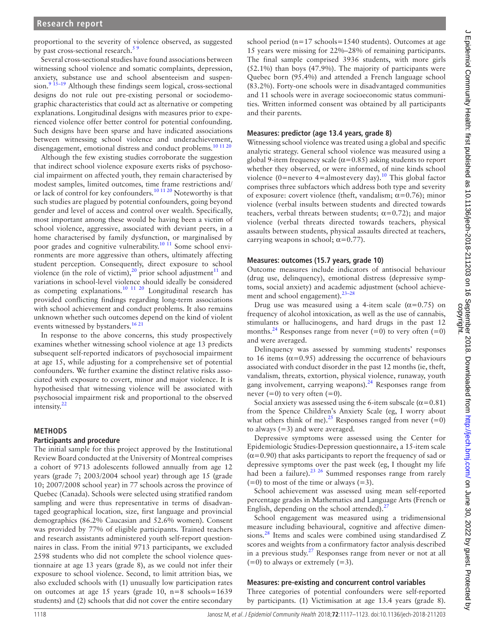proportional to the severity of violence observed, as suggested by past cross-sectional research.<sup>5</sup>

Several cross-sectional studies have found associations between witnessing school violence and somatic complaints, depression, anxiety, substance use and school absenteeism and suspension.<sup>9 15–19</sup> Although these findings seem logical, cross-sectional designs do not rule out pre-existing personal or sociodemographic characteristics that could act as alternative or competing explanations. Longitudinal designs with measures prior to experienced violence offer better control for potential confounding. Such designs have been sparse and have indicated associations between witnessing school violence and underachievement, disengagement, emotional distress and conduct problems.<sup>[10 11 20](#page-6-5)</sup>

Although the few existing studies corroborate the suggestion that indirect school violence exposure exerts risks of psychosocial impairment on affected youth, they remain characterised by modest samples, limited outcomes, time frame restrictions and/ or lack of control for key confounders.[10 11 20](#page-6-5) Noteworthy is that such studies are plagued by potential confounders, going beyond gender and level of access and control over wealth. Specifically, most important among these would be having been a victim of school violence, aggressive, associated with deviant peers, in a home characterised by family dysfunction, or marginalised by poor grades and cognitive vulnerability.<sup>[10 11](#page-6-5)</sup> Some school environments are more aggressive than others, ultimately affecting student perception. Consequently, direct exposure to school violence (in the role of victim),<sup>20</sup> prior school adjustment<sup>11</sup> and variations in school-level violence should ideally be considered as competing explanations. $10^{-11}$   $20$  Longitudinal research has provided conflicting findings regarding long-term associations with school achievement and conduct problems. It also remains unknown whether such outcomes depend on the kind of violent events witnessed by bystanders.<sup>[16 21](#page-6-8)</sup>

In response to the above concerns, this study prospectively examines whether witnessing school violence at age 13 predicts subsequent self-reported indicators of psychosocial impairment at age 15, while adjusting for a comprehensive set of potential confounders. We further examine the distinct relative risks associated with exposure to covert, minor and major violence. It is hypothesised that witnessing violence will be associated with psychosocial impairment risk and proportional to the observed intensity.<sup>22</sup>

#### **Methods**

#### **Participants and procedure**

The initial sample for this project approved by the Institutional Review Board conducted at the University of Montreal comprises a cohort of 9713 adolescents followed annually from age 12 years (grade 7; 2003/2004 school year) through age 15 (grade 10; 2007/2008 school year) in 77 schools across the province of Quebec (Canada). Schools were selected using stratified random sampling and were thus representative in terms of disadvantaged geographical location, size, first language and provincial demographics (86.2% Caucasian and 52.6% women). Consent was provided by 77% of eligible participants. Trained teachers and research assistants administered youth self-report questionnaires in class. From the initial 9713 participants, we excluded 2598 students who did not complete the school violence questionnaire at age 13 years (grade 8), as we could not infer their exposure to school violence. Second, to limit attrition bias, we also excluded schools with (1) unusually low participation rates on outcomes at age 15 years (grade 10, n=8 schools=1639 students) and (2) schools that did not cover the entire secondary

school period (n=17 schools=1540 students). Outcomes at age 15 years were missing for 22%–28% of remaining participants. The final sample comprised 3936 students, with more girls (52.1%) than boys (47.9%). The majority of participants were Quebec born (95.4%) and attended a French language school (83.2%). Forty-one schools were in disadvantaged communities and 11 schools were in average socioeconomic status communities. Written informed consent was obtained by all participants and their parents.

#### **Measures: predictor (age 13.4 years, grade 8)**

Witnessing school violence was treated using a global and specific analytic strategy. General school violence was measured using a global 9-item frequency scale ( $\alpha$ =0.85) asking students to report whether they observed, or were informed, of nine kinds school violence (0=never to 4=almost every day).<sup>[10](#page-6-5)</sup> This global factor comprises three subfactors which address both type and severity of exposure: covert violence (theft, vandalism;  $\alpha$ =0.76); minor violence (verbal insults between students and directed towards teachers, verbal threats between students;  $\alpha$ =0.72); and major violence (verbal threats directed towards teachers, physical assaults between students, physical assaults directed at teachers, carrying weapons in school;  $\alpha$ =0.77).

#### **Measures: outcomes (15.7 years, grade 10)**

Outcome measures include indicators of antisocial behaviour (drug use, delinquency), emotional distress (depressive symptoms, social anxiety) and academic adjustment (school achievement and school engagement).<sup>23-28</sup>

Drug use was measured using a 4-item scale  $(\alpha=0.75)$  on frequency of alcohol intoxication, as well as the use of cannabis, stimulants or hallucinogens, and hard drugs in the past 12 months.<sup>24</sup> Responses range from never  $(=0)$  to very often  $(=0)$ and were averaged.

Delinquency was assessed by summing students' responses to 16 items ( $\alpha$ =0.95) addressing the occurrence of behaviours associated with conduct disorder in the past 12 months (ie, theft, vandalism, threats, extortion, physical violence, runaway, youth gang involvement, carrying weapons). $24$  Responses range from never  $(=0)$  to very often  $(=0)$ .

Social anxiety was assessed using the 6-item subscale ( $\alpha$ =0.81) from the Spence Children's Anxiety Scale (eg, I worry about what others think of me).<sup>25</sup> Responses ranged from never  $(=0)$ to always  $(=3)$  and were averaged.

Depressive symptoms were assessed using the Center for Epidemiologic Studies-Depression questionnaire, a 15-item scale  $(\alpha=0.90)$  that asks participants to report the frequency of sad or depressive symptoms over the past week (eg, I thought my life had been a failure).<sup>23 26</sup> Summed responses range from rarely  $(=0)$  to most of the time or always  $(=3)$ .

School achievement was assessed using mean self-reported percentage grades in Mathematics and Language Arts (French or English, depending on the school attended).<sup>[27](#page-6-13)</sup>

School engagement was measured using a tridimensional measure including behavioural, cognitive and affective dimensions.[28](#page-6-14) Items and scales were combined using standardised Z scores and weights from a confirmatory factor analysis described in a previous study.<sup>[27](#page-6-13)</sup> Responses range from never or not at all  $(=0)$  to always or extremely  $(=3)$ .

#### **Measures: pre-existing and concurrent control variables**

Three categories of potential confounders were self-reported by participants. (1) Victimisation at age 13.4 years (grade 8).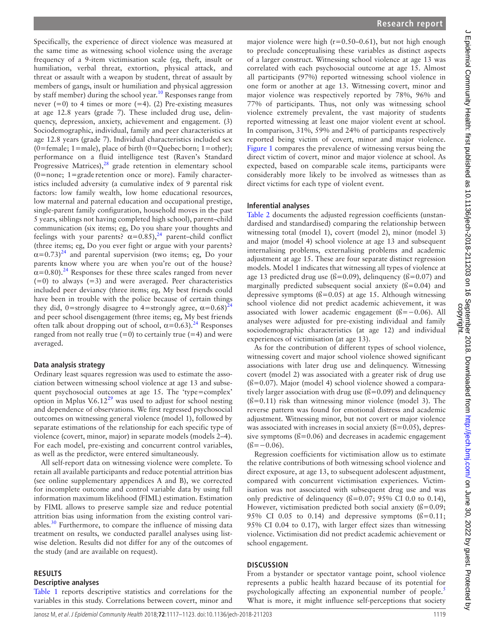Specifically, the experience of direct violence was measured at the same time as witnessing school violence using the average frequency of a 9-item victimisation scale (eg, theft, insult or humiliation, verbal threat, extortion, physical attack, and threat or assault with a weapon by student, threat of assault by members of gangs, insult or humiliation and physical aggression by staff member) during the school year.<sup>[10](#page-6-5)</sup> Responses range from never  $(=0)$  to 4 times or more  $(=4)$ . (2) Pre-existing measures at age 12.8 years (grade 7). These included drug use, delinquency, depression, anxiety, achievement and engagement. (3) Sociodemographic, individual, family and peer characteristics at age 12.8 years (grade 7). Individual characteristics included sex (0=female; 1=male), place of birth (0=Quebecborn; 1=other); performance on a fluid intelligence test (Raven's Standard Progressive Matrices), $28$  grade retention in elementary school  $(0=none; 1=grade \, retention \, once \, or \, more). Family character$ istics included adversity (a cumulative index of 9 parental risk factors: low family wealth, low home educational resources, low maternal and paternal education and occupational prestige, single-parent family configuration, household moves in the past 5 years, siblings not having completed high school), parent–child communication (six items; eg, Do you share your thoughts and feelings with your parents?  $\alpha = 0.85$ ,  $^{24}$  $^{24}$  $^{24}$  parent–child conflict (three items; eg, Do you ever fight or argue with your parents?  $\alpha$ =0.73)<sup>[24](#page-6-11)</sup> and parental supervision (two items; eg, Do your parents know where you are when you're out of the house?  $\alpha$ =0.80).<sup>24</sup> Responses for these three scales ranged from never  $(=0)$  to always  $(=3)$  and were averaged. Peer characteristics included peer deviancy (three items; eg, My best friends could have been in trouble with the police because of certain things they did, 0=strongly disagree to 4=strongly agree,  $\alpha$ =0.68)<sup>2</sup> and peer school disengagement (three items; eg, My best friends often talk about dropping out of school,  $\alpha$ =0.63).<sup>[24](#page-6-11)</sup> Responses ranged from not really true  $(=0)$  to certainly true  $(=4)$  and were averaged.

#### **Data analysis strategy**

Ordinary least squares regression was used to estimate the association between witnessing school violence at age 13 and subsequent psychosocial outcomes at age 15. The 'type=complex' option in Mplus  $V.6.12^{29}$  $V.6.12^{29}$  $V.6.12^{29}$  was used to adjust for school nesting and dependence of observations. We first regressed psychosocial outcomes on witnessing general violence (model 1), followed by separate estimations of the relationship for each specific type of violence (covert, minor, major) in separate models (models 2–4). For each model, pre-existing and concurrent control variables, as well as the predictor, were entered simultaneously.

All self-report data on witnessing violence were complete. To retain all available participants and reduce potential attrition bias (see online [supplementary appendices A and B](https://dx.doi.org/10.1136/jech-2018-211203)), we corrected for incomplete outcome and control variable data by using full information maximum likelihood (FIML) estimation. Estimation by FIML allows to preserve sample size and reduce potential attrition bias using information from the existing control variables.<sup>30</sup> Furthermore, to compare the influence of missing data treatment on results, we conducted parallel analyses using listwise deletion. Results did not differ for any of the outcomes of the study (and are available on request).

#### **Results**

#### **Descriptive analyses**

[Table](#page-3-0) 1 reports descriptive statistics and correlations for the variables in this study. Correlations between covert, minor and

major violence were high (r=0.50–0.61), but not high enough to preclude conceptualising these variables as distinct aspects of a larger construct. Witnessing school violence at age 13 was correlated with each psychosocial outcome at age 15. Almost all participants (97%) reported witnessing school violence in one form or another at age 13. Witnessing covert, minor and major violence was respectively reported by 78%, 96% and 77% of participants. Thus, not only was witnessing school violence extremely prevalent, the vast majority of students reported witnessing at least one major violent event at school. In comparison, 31%, 59% and 24% of participants respectively reported being victim of covert, minor and major violence. [Figure](#page-3-1) 1 compares the prevalence of witnessing versus being the direct victim of covert, minor and major violence at school. As expected, based on comparable scale items, participants were considerably more likely to be involved as witnesses than as direct victims for each type of violent event.

#### **Inferential analyses**

[Table](#page-4-0) 2 documents the adjusted regression coefficients (unstandardised and standardised) comparing the relationship between witnessing total (model 1), covert (model 2), minor (model 3) and major (model 4) school violence at age 13 and subsequent internalising problems, externalising problems and academic adjustment at age 15. These are four separate distinct regression models. Model 1 indicates that witnessing all types of violence at age 13 predicted drug use ( $\beta$ =0.09), delinquency ( $\beta$ =0.07) and marginally predicted subsequent social anxiety  $($  $\beta$ =0.04) and depressive symptoms  $(6=0.05)$  at age 15. Although witnessing school violence did not predict academic achievement, it was associated with lower academic engagement (ß=−0.06). All analyses were adjusted for pre-existing individual and family sociodemographic characteristics (at age 12) and individual experiences of victimisation (at age 13).

As for the contribution of different types of school violence, witnessing covert and major school violence showed significant associations with later drug use and delinquency. Witnessing covert (model 2) was associated with a greater risk of drug use  $(6=0.07)$ . Major (model 4) school violence showed a comparatively larger association with drug use  $(\beta = 0.09)$  and delinquency  $(6=0.11)$  risk than witnessing minor violence (model 3). The reverse pattern was found for emotional distress and academic adjustment. Witnessing minor, but not covert or major violence was associated with increases in social anxiety  $(6=0.05)$ , depressive symptoms  $(6=0.06)$  and decreases in academic engagement  $($ ß=−0.06).

Regression coefficients for victimisation allow us to estimate the relative contributions of both witnessing school violence and direct exposure, at age 13, to subsequent adolescent adjustment, compared with concurrent victimisation experiences. Victimisation was not associated with subsequent drug use and was only predictive of delinquency  $(6=0.07; 95% \text{ CI } 0.0 \text{ to } 0.14)$ , However, victimisation predicted both social anxiety  $(6=0.09;$ 95% CI 0.05 to 0.14) and depressive symptoms  $(6=0.11;$ 95% CI 0.04 to 0.17), with larger effect sizes than witnessing violence. Victimisation did not predict academic achievement or school engagement.

### **Discussion**

From a bystander or spectator vantage point, school violence represents a public health hazard because of its potential for psychologically affecting an exponential number of people.<sup>[5](#page-6-6)</sup> What is more, it might influence self-perceptions that society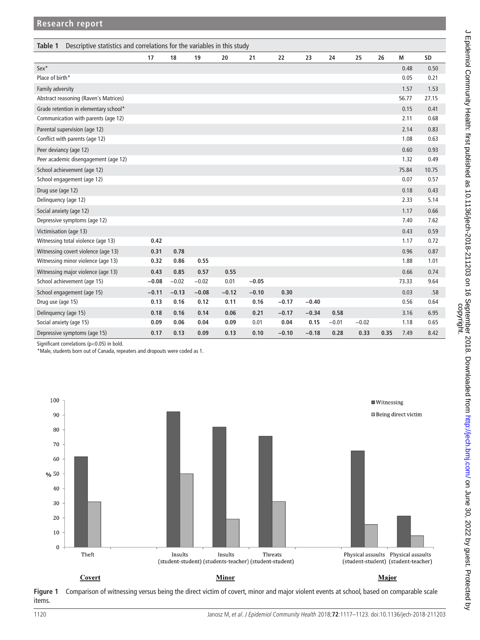<span id="page-3-0"></span>

| Descriptive statistics and correlations for the variables in this study<br>Table 1 |         |         |         |         |         |         |         |         |         |      |       |       |
|------------------------------------------------------------------------------------|---------|---------|---------|---------|---------|---------|---------|---------|---------|------|-------|-------|
|                                                                                    | 17      | 18      | 19      | 20      | 21      | 22      | 23      | 24      | 25      | 26   | M     | SD    |
| Sex*                                                                               |         |         |         |         |         |         |         |         |         |      | 0.48  | 0.50  |
| Place of birth*                                                                    |         |         |         |         |         |         |         |         |         |      | 0.05  | 0.21  |
| Family adversity                                                                   |         |         |         |         |         |         |         |         |         |      | 1.57  | 1.53  |
| Abstract reasoning (Raven's Matrices)                                              |         |         |         |         |         |         |         |         |         |      | 56.77 | 27.15 |
| Grade retention in elementary school*                                              |         |         |         |         |         |         |         |         |         |      | 0.15  | 0.41  |
| Communication with parents (age 12)                                                |         |         |         |         |         |         |         |         |         |      | 2.11  | 0.68  |
| Parental supervision (age 12)                                                      |         |         |         |         |         |         |         |         |         |      | 2.14  | 0.83  |
| Conflict with parents (age 12)                                                     |         |         |         |         |         |         |         |         |         |      | 1.08  | 0.63  |
| Peer deviancy (age 12)                                                             |         |         |         |         |         |         |         |         |         |      | 0.60  | 0.93  |
| Peer academic disengagement (age 12)                                               |         |         |         |         |         |         |         |         |         |      | 1.32  | 0.49  |
| School achievement (age 12)                                                        |         |         |         |         |         |         |         |         |         |      | 75.84 | 10.75 |
| School engagement (age 12)                                                         |         |         |         |         |         |         |         |         |         |      | 0.07  | 0.57  |
| Drug use (age 12)                                                                  |         |         |         |         |         |         |         |         |         |      | 0.18  | 0.43  |
| Delinquency (age 12)                                                               |         |         |         |         |         |         |         |         |         |      | 2.33  | 5.14  |
| Social anxiety (age 12)                                                            |         |         |         |         |         |         |         |         |         |      | 1.17  | 0.66  |
| Depressive symptoms (age 12)                                                       |         |         |         |         |         |         |         |         |         |      | 7.40  | 7.62  |
| Victimisation (age 13)                                                             |         |         |         |         |         |         |         |         |         |      | 0.43  | 0.59  |
| Witnessing total violence (age 13)                                                 | 0.42    |         |         |         |         |         |         |         |         |      | 1.17  | 0.72  |
| Witnessing covert violence (age 13)                                                | 0.31    | 0.78    |         |         |         |         |         |         |         |      | 0.96  | 0.87  |
| Witnessing minor violence (age 13)                                                 | 0.32    | 0.86    | 0.55    |         |         |         |         |         |         |      | 1.88  | 1.01  |
| Witnessing major violence (age 13)                                                 | 0.43    | 0.85    | 0.57    | 0.55    |         |         |         |         |         |      | 0.66  | 0.74  |
| School achievement (age 15)                                                        | $-0.08$ | $-0.02$ | $-0.02$ | 0.01    | $-0.05$ |         |         |         |         |      | 73.33 | 9.64  |
| School engagement (age 15)                                                         | $-0.11$ | $-0.13$ | $-0.08$ | $-0.12$ | $-0.10$ | 0.30    |         |         |         |      | 0.03  | .58   |
| Drug use (age 15)                                                                  | 0.13    | 0.16    | 0.12    | 0.11    | 0.16    | $-0.17$ | $-0.40$ |         |         |      | 0.56  | 0.64  |
| Delinquency (age 15)                                                               | 0.18    | 0.16    | 0.14    | 0.06    | 0.21    | $-0.17$ | $-0.34$ | 0.58    |         |      | 3.16  | 6.95  |
| Social anxiety (age 15)                                                            | 0.09    | 0.06    | 0.04    | 0.09    | 0.01    | 0.04    | 0.15    | $-0.01$ | $-0.02$ |      | 1.18  | 0.65  |
| Depressive symptoms (age 15)                                                       | 0.17    | 0.13    | 0.09    | 0.13    | 0.10    | $-0.10$ | $-0.18$ | 0.28    | 0.33    | 0.35 | 7.49  | 8.42  |

Significant correlations (p<0.05) in bold.

\*Male, students born out of Canada, repeaters and dropouts were coded as 1.



<span id="page-3-1"></span>**Figure 1** Comparison of witnessing versus being the direct victim of covert, minor and major violent events at school, based on comparable scale items.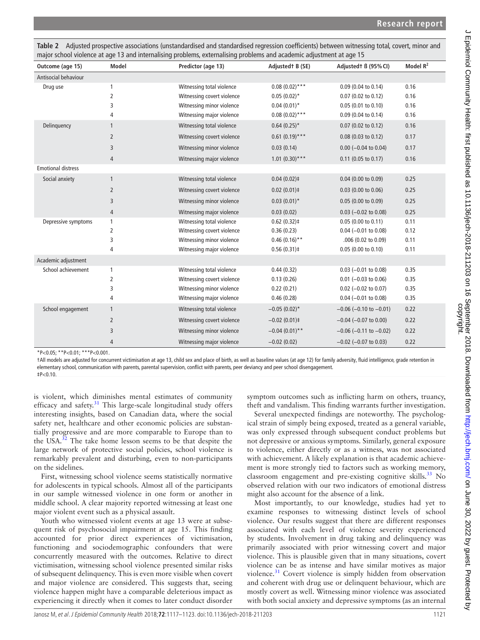<span id="page-4-0"></span>**Table 2** Adjusted prospective associations (unstandardised and standardised regression coefficients) between witnessing total, covert, minor and major school violence at age 13 and internalising problems, externalising problems and academic adjustment at age 15

| Outcome (age 15)          | <b>Model</b>   | Predictor (age 13)         | Adjustedt B (SE)  | Adjustedt B (95% CI)           | Model R <sup>2</sup> |
|---------------------------|----------------|----------------------------|-------------------|--------------------------------|----------------------|
| Antisocial behaviour      |                |                            |                   |                                |                      |
| Drug use                  | 1              | Witnessing total violence  | $0.08(0.02)$ ***  | 0.09 (0.04 to 0.14)            | 0.16                 |
|                           | 2              | Witnessing covert violence | $0.05(0.02)^*$    | 0.07 (0.02 to 0.12)            | 0.16                 |
|                           | 3              | Witnessing minor violence  | $0.04(0.01)^*$    | 0.05(0.01 to 0.10)             | 0.16                 |
|                           | 4              | Witnessing major violence  | $0.08(0.02)$ ***  | 0.09 (0.04 to 0.14)            | 0.16                 |
| Delinquency               | $\mathbf{1}$   | Witnessing total violence  | $0.64(0.25)$ *    | $0.07$ (0.02 to 0.12)          | 0.16                 |
|                           | $\overline{2}$ | Witnessing covert violence | $0.61(0.19)$ ***  | $0.08$ (0.03 to 0.12)          | 0.17                 |
|                           | 3              | Witnessing minor violence  | 0.03(0.14)        | $0.00$ (-0.04 to 0.04)         | 0.17                 |
|                           | 4              | Witnessing major violence  | $1.01 (0.30)$ *** | $0.11$ (0.05 to 0.17)          | 0.16                 |
| <b>Emotional distress</b> |                |                            |                   |                                |                      |
| Social anxiety            | $\mathbf{1}$   | Witnessing total violence  | $0.04(0.02)$ ‡    | $0.04$ (0.00 to 0.09)          | 0.25                 |
|                           | $\overline{2}$ | Witnessing covert violence | $0.02(0.01)$ ‡    | $0.03$ (0.00 to 0.06)          | 0.25                 |
|                           | 3              | Witnessing minor violence  | $0.03(0.01)^*$    | 0.05 (0.00 to 0.09)            | 0.25                 |
|                           | 4              | Witnessing major violence  | 0.03(0.02)        | $0.03$ (-0.02 to 0.08)         | 0.25                 |
| Depressive symptoms<br>1  |                | Witnessing total violence  | $0.62(0.32)$ ‡    | 0.05(0.00 to 0.11)             | 0.11                 |
|                           | 2              | Witnessing covert violence | 0.36(0.23)        | $0.04$ (-0.01 to 0.08)         | 0.12                 |
|                           | 3              | Witnessing minor violence  | $0.46(0.16)$ **   | .006 (0.02 to 0.09)            | 0.11                 |
|                           | 4              | Witnessing major violence  | $0.56(0.31)$ ‡    | $0.05$ (0.00 to 0.10)          | 0.11                 |
| Academic adjustment       |                |                            |                   |                                |                      |
| School achievement        | 1              | Witnessing total violence  | 0.44(0.32)        | $0.03$ (-0.01 to 0.08)         | 0.35                 |
|                           | 2              | Witnessing covert violence | 0.13(0.26)        | $0.01$ (-0.03 to 0.06)         | 0.35                 |
|                           | 3              | Witnessing minor violence  | 0.22(0.21)        | $0.02$ (-0.02 to 0.07)         | 0.35                 |
|                           | 4              | Witnessing major violence  | 0.46(0.28)        | $0.04 (-0.01 to 0.08)$         | 0.35                 |
| School engagement         | $\mathbf{1}$   | Witnessing total violence  | $-0.05(0.02)$ *   | $-0.06$ ( $-0.10$ to $-0.01$ ) | 0.22                 |
|                           | $\overline{2}$ | Witnessing covert violence | $-0.02(0.01)$ ‡   | $-0.04$ ( $-0.07$ to 0.00)     | 0.22                 |
|                           | 3              | Witnessing minor violence  | $-0.04(0.01)$ **  | $-0.06$ ( $-0.11$ to $-0.02$ ) | 0.22                 |
|                           | 4              | Witnessing major violence  | $-0.02(0.02)$     | $-0.02$ ( $-0.07$ to 0.03)     | 0.22                 |

 $*P<0.05$ ;  $*P<0.01$ ;  $**P<0.001$ .

†All models are adjusted for concurrent victimisation at age 13, child sex and place of birth, as well as baseline values (at age 12) for family adversity, fluid intelligence, grade retention in elementary school, communication with parents, parental supervision, conflict with parents, peer deviancy and peer school disengagement. ‡P<0.10.

is violent, which diminishes mental estimates of community efficacy and safety. $31$  This large-scale longitudinal study offers interesting insights, based on Canadian data, where the social safety net, healthcare and other economic policies are substantially progressive and are more comparable to Europe than to the USA.<sup>32</sup> The take home lesson seems to be that despite the large network of protective social policies, school violence is remarkably prevalent and disturbing, even to non-participants on the sidelines.

First, witnessing school violence seems statistically normative for adolescents in typical schools. Almost all of the participants in our sample witnessed violence in one form or another in middle school. A clear majority reported witnessing at least one major violent event such as a physical assault.

Youth who witnessed violent events at age 13 were at subsequent risk of psychosocial impairment at age 15. This finding accounted for prior direct experiences of victimisation, functioning and sociodemographic confounders that were concurrently measured with the outcomes. Relative to direct victimisation, witnessing school violence presented similar risks of subsequent delinquency. This is even more visible when covert and major violence are considered. This suggests that, seeing violence happen might have a comparable deleterious impact as experiencing it directly when it comes to later conduct disorder

symptom outcomes such as inflicting harm on others, truancy, theft and vandalism. This finding warrants further investigation.

Several unexpected findings are noteworthy. The psychological strain of simply being exposed, treated as a general variable, was only expressed through subsequent conduct problems but not depressive or anxious symptoms. Similarly, general exposure to violence, either directly or as a witness, was not associated with achievement. A likely explanation is that academic achievement is more strongly tied to factors such as working memory, classroom engagement and pre-existing cognitive skills.<sup>[33](#page-6-19)</sup> No observed relation with our two indicators of emotional distress might also account for the absence of a link.

Most importantly, to our knowledge, studies had yet to examine responses to witnessing distinct levels of school violence. Our results suggest that there are different responses associated with each level of violence severity experienced by students. Involvement in drug taking and delinquency was primarily associated with prior witnessing covert and major violence. This is plausible given that in many situations, covert violence can be as intense and have similar motives as major violence.<sup>31</sup> Covert violence is simply hidden from observation and coherent with drug use or delinquent behaviour, which are mostly covert as well. Witnessing minor violence was associated with both social anxiety and depressive symptoms (as an internal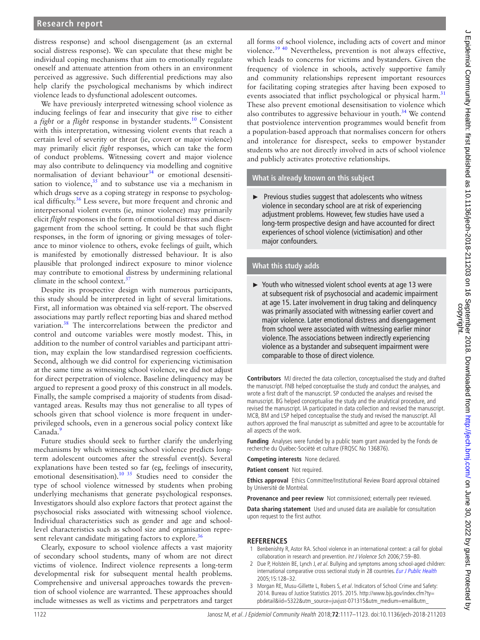## **Research report**

distress response) and school disengagement (as an external social distress response). We can speculate that these might be individual coping mechanisms that aim to emotionally regulate oneself and attenuate attention from others in an environment perceived as aggressive. Such differential predictions may also help clarify the psychological mechanisms by which indirect violence leads to dysfunctional adolescent outcomes.

We have previously interpreted witnessing school violence as inducing feelings of fear and insecurity that give rise to either a *fight* or a *flight* response in bystander students.[10](#page-6-5) Consistent with this interpretation, witnessing violent events that reach a certain level of severity or threat (ie, covert or major violence) may primarily elicit *fight* responses, which can take the form of conduct problems. Witnessing covert and major violence may also contribute to delinquency via modelling and cognitive normalisation of deviant behaviour<sup>34</sup> or emotional desensitisation to violence, $35$  and to substance use via a mechanism in which drugs serve as a coping strategy in response to psychological difficulty[.36](#page-6-22) Less severe, but more frequent and chronic and interpersonal violent events (ie, minor violence) may primarily elicit *flight* responses in the form of emotional distress and disengagement from the school setting. It could be that such flight responses, in the form of ignoring or giving messages of tolerance to minor violence to others, evoke feelings of guilt, which is manifested by emotionally distressed behaviour. It is also plausible that prolonged indirect exposure to minor violence may contribute to emotional distress by undermining relational climate in the school context.<sup>[37](#page-6-23)</sup>

Despite its prospective design with numerous participants, this study should be interpreted in light of several limitations. First, all information was obtained via self-report. The observed associations may partly reflect reporting bias and shared method variation.<sup>[38](#page-6-24)</sup> The intercorrelations between the predictor and control and outcome variables were mostly modest. This, in addition to the number of control variables and participant attrition, may explain the low standardised regression coefficients. Second, although we did control for experiencing victimisation at the same time as witnessing school violence, we did not adjust for direct perpetration of violence. Baseline delinquency may be argued to represent a good proxy of this construct in all models. Finally, the sample comprised a majority of students from disadvantaged areas. Results may thus not generalise to all types of schools given that school violence is more frequent in underprivileged schools, even in a generous social policy context like Canada.<sup>[9](#page-6-2)</sup>

Future studies should seek to further clarify the underlying mechanisms by which witnessing school violence predicts longterm adolescent outcomes after the stressful event(s). Several explanations have been tested so far (eg, feelings of insecurity, emotional desensitisation).<sup>10 35</sup> Studies need to consider the type of school violence witnessed by students when probing underlying mechanisms that generate psychological responses. Investigators should also explore factors that protect against the psychosocial risks associated with witnessing school violence. Individual characteristics such as gender and age and schoollevel characteristics such as school size and organisation represent relevant candidate mitigating factors to explore.<sup>36</sup>

Clearly, exposure to school violence affects a vast majority of secondary school students, many of whom are not direct victims of violence. Indirect violence represents a long-term developmental risk for subsequent mental health problems. Comprehensive and universal approaches towards the prevention of school violence are warranted. These approaches should include witnesses as well as victims and perpetrators and target

all forms of school violence, including acts of covert and minor violence.<sup>39 40</sup> Nevertheless, prevention is not always effective, which leads to concerns for victims and bystanders. Given the frequency of violence in schools, actively supportive family and community relationships represent important resources for facilitating coping strategies after having been exposed to events associated that inflict psychological or physical harm.<sup>[31](#page-6-17)</sup> These also prevent emotional desensitisation to violence which also contributes to aggressive behaviour in youth. $34$  We contend that postviolence intervention programmes would benefit from a population-based approach that normalises concern for others and intolerance for disrespect, seeks to empower bystander students who are not directly involved in acts of school violence and publicly activates protective relationships.

#### **What is already known on this subject**

► Previous studies suggest that adolescents who witness violence in secondary school are at risk of experiencing adjustment problems. However, few studies have used a long-term prospective design and have accounted for direct experiences of school violence (victimisation) and other major confounders.

### **What this study adds**

► Youth who witnessed violent school events at age 13 were at subsequent risk of psychosocial and academic impairment at age 15. Later involvement in drug taking and delinquency was primarily associated with witnessing earlier covert and major violence. Later emotional distress and disengagement from school were associated with witnessing earlier minor violence. The associations between indirectly experiencing violence as a bystander and subsequent impairment were comparable to those of direct violence.

**Contributors** MJ directed the data collection, conceptualised the study and drafted the manuscript. FNB helped conceptualise the study and conduct the analyses, and wrote a first draft of the manuscript. SP conducted the analyses and revised the manuscript. BG helped conceptualise the study and the analytical procedure, and revised the manuscript. IA participated in data collection and revised the manuscript. MCB, BM and LSP helped conceptualise the study and revised the manuscript. All authors approved the final manuscript as submitted and agree to be accountable for all aspects of the work.

**Funding** Analyses were funded by a public team grant awarded by the Fonds de recherche du Québec-Société et culture (FRQSC No 136876).

**Competing interests** None declared.

**Patient consent** Not required.

**Ethics approval** Ethics Committee/Institutional Review Board approval obtained by Université de Montréal.

**Provenance and peer review** Not commissioned; externally peer reviewed.

**Data sharing statement** Used and unused data are available for consultation upon request to the first author.

### **References**

- <span id="page-5-0"></span>1 Benbenishty R, Astor RA. School violence in an international context: a call for global collaboration in research and prevention. Int J Violence Sch 2006;7:59–80.
- <span id="page-5-1"></span>2 Due P, Holstein BE, Lynch J, et al. Bullying and symptoms among school-aged children: international comparative cross sectional study in 28 countries. [Eur J Public Health](http://dx.doi.org/10.1093/eurpub/cki105) 2005;15:128–32.
- <span id="page-5-2"></span>3 Morgan RE, Musu-Gillette L, Robers S, et al. Indicators of School Crime and Safety: 2014. Bureau of Justice Statistics 2015. 2015. [http://www.bjs.gov/index.cfm?ty=](http://www.bjs.gov/index.cfm?ty=pbdetail&iid=5322&utm_source=juvjust-071315&utm_medium=email&utm_content=Indicators%20of%20School%20Crime%20and%20Safety%202014&utm_campaign=juvjust) [pbdetail&iid=5322&utm\\_source=juvjust-071315&utm\\_medium=email&utm\\_](http://www.bjs.gov/index.cfm?ty=pbdetail&iid=5322&utm_source=juvjust-071315&utm_medium=email&utm_content=Indicators%20of%20School%20Crime%20and%20Safety%202014&utm_campaign=juvjust)